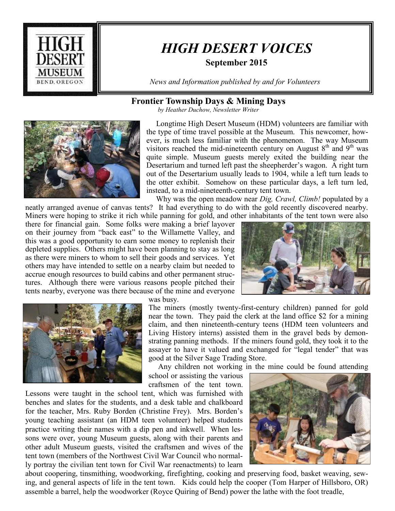

# *HIGH DESERT VOICES*

### **September 2015**

*News and Information published by and for Volunteers*

### **Frontier Township Days & Mining Days**

*by Heather Duchow, Newsletter Writer*



 Longtime High Desert Museum (HDM) volunteers are familiar with the type of time travel possible at the Museum. This newcomer, however, is much less familiar with the phenomenon. The way Museum visitors reached the mid-nineteenth century on August  $8<sup>th</sup>$  and  $9<sup>th</sup>$  was quite simple. Museum guests merely exited the building near the Desertarium and turned left past the sheepherder's wagon. A right turn out of the Desertarium usually leads to 1904, while a left turn leads to the otter exhibit. Somehow on these particular days, a left turn led, instead, to a mid-nineteenth-century tent town.

 Why was the open meadow near *Dig, Crawl, Climb!* populated by a neatly arranged avenue of canvas tents? It had everything to do with the gold recently discovered nearby.

Miners were hoping to strike it rich while panning for gold, and other inhabitants of the tent town were also there for financial gain. Some folks were making a brief layover on their journey from "back east" to the Willamette Valley, and this was a good opportunity to earn some money to replenish their depleted supplies. Others might have been planning to stay as long as there were miners to whom to sell their goods and services. Yet others may have intended to settle on a nearby claim but needed to accrue enough resources to build cabins and other permanent structures. Although there were various reasons people pitched their tents nearby, everyone was there because of the mine and everyone





was busy.

The miners (mostly twenty-first-century children) panned for gold near the town. They paid the clerk at the land office \$2 for a mining claim, and then nineteenth-century teens (HDM teen volunteers and Living History interns) assisted them in the gravel beds by demonstrating panning methods. If the miners found gold, they took it to the assayer to have it valued and exchanged for "legal tender" that was good at the Silver Sage Trading Store.

Any children not working in the mine could be found attending

school or assisting the various craftsmen of the tent town.

Lessons were taught in the school tent, which was furnished with benches and slates for the students, and a desk table and chalkboard for the teacher, Mrs. Ruby Borden (Christine Frey). Mrs. Borden's young teaching assistant (an HDM teen volunteer) helped students practice writing their names with a dip pen and inkwell. When lessons were over, young Museum guests, along with their parents and other adult Museum guests, visited the craftsmen and wives of the tent town (members of the Northwest Civil War Council who normally portray the civilian tent town for Civil War reenactments) to learn



about coopering, tinsmithing, woodworking, firefighting, cooking and preserving food, basket weaving, sewing, and general aspects of life in the tent town. Kids could help the cooper (Tom Harper of Hillsboro, OR) assemble a barrel, help the woodworker (Royce Quiring of Bend) power the lathe with the foot treadle,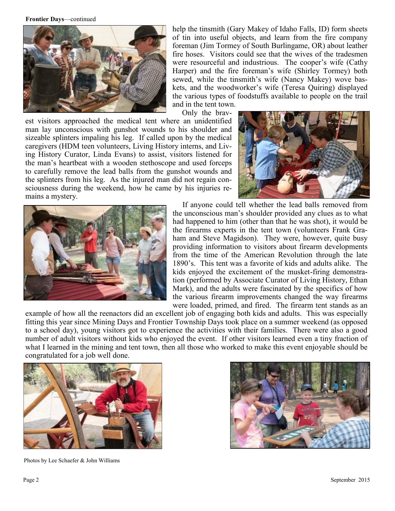**Frontier Days**—continued



help the tinsmith (Gary Makey of Idaho Falls, ID) form sheets of tin into useful objects, and learn from the fire company foreman (Jim Tormey of South Burlingame, OR) about leather fire hoses. Visitors could see that the wives of the tradesmen were resourceful and industrious. The cooper's wife (Cathy Harper) and the fire foreman's wife (Shirley Tormey) both sewed, while the tinsmith's wife (Nancy Makey) wove baskets, and the woodworker's wife (Teresa Quiring) displayed the various types of foodstuffs available to people on the trail and in the tent town.

Only the brav-

est visitors approached the medical tent where an unidentified man lay unconscious with gunshot wounds to his shoulder and sizeable splinters impaling his leg. If called upon by the medical caregivers (HDM teen volunteers, Living History interns, and Living History Curator, Linda Evans) to assist, visitors listened for the man's heartbeat with a wooden stethoscope and used forceps to carefully remove the lead balls from the gunshot wounds and the splinters from his leg. As the injured man did not regain consciousness during the weekend, how he came by his injuries remains a mystery.



 If anyone could tell whether the lead balls removed from the unconscious man's shoulder provided any clues as to what had happened to him (other than that he was shot), it would be the firearms experts in the tent town (volunteers Frank Graham and Steve Magidson). They were, however, quite busy providing information to visitors about firearm developments from the time of the American Revolution through the late 1890's. This tent was a favorite of kids and adults alike. The kids enjoyed the excitement of the musket-firing demonstration (performed by Associate Curator of Living History, Ethan Mark), and the adults were fascinated by the specifics of how the various firearm improvements changed the way firearms were loaded, primed, and fired. The firearm tent stands as an

example of how all the reenactors did an excellent job of engaging both kids and adults. This was especially fitting this year since Mining Days and Frontier Township Days took place on a summer weekend (as opposed to a school day), young visitors got to experience the activities with their families. There were also a good number of adult visitors without kids who enjoyed the event. If other visitors learned even a tiny fraction of what I learned in the mining and tent town, then all those who worked to make this event enjoyable should be congratulated for a job well done.



Photos by Lee Schaefer & John Williams

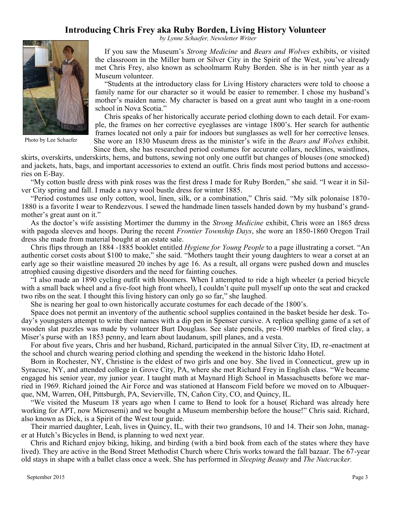## **Introducing Chris Frey aka Ruby Borden, Living History Volunteer**

 *by Lynne Schaefer, Newsletter Writer*



Photo by Lee Schaefer

 If you saw the Museum's *Strong Medicine* and *Bears and Wolves* exhibits, or visited the classroom in the Miller barn or Silver City in the Spirit of the West, you've already met Chris Frey, also known as schoolmarm Ruby Borden. She is in her ninth year as a Museum volunteer.

 "Students at the introductory class for Living History characters were told to choose a family name for our character so it would be easier to remember. I chose my husband's mother's maiden name. My character is based on a great aunt who taught in a one-room school in Nova Scotia."

 Chris speaks of her historically accurate period clothing down to each detail. For example, the frames on her corrective eyeglasses are vintage 1800's. Her search for authentic frames located not only a pair for indoors but sunglasses as well for her corrective lenses. She wore an 1830 Museum dress as the minister's wife in the *Bears and Wolves* exhibit. Since then, she has researched period costumes for accurate collars, necklines, waistlines,

skirts, overskirts, underskirts, hems, and buttons, sewing not only one outfit but changes of blouses (one smocked) and jackets, hats, bags, and important accessories to extend an outfit. Chris finds most period buttons and accessories on E-Bay.

 "My cotton bustle dress with pink roses was the first dress I made for Ruby Borden," she said. "I wear it in Silver City spring and fall. I made a navy wool bustle dress for winter 1885.

 "Period costumes use only cotton, wool, linen, silk, or a combination," Chris said. "My silk polonaise 1870- 1880 is a favorite I wear to Rendezvous. I sewed the handmade linen tassels handed down by my husband's grandmother's great aunt on it."

 As the doctor's wife assisting Mortimer the dummy in the *Strong Medicine* exhibit, Chris wore an 1865 dress with pagoda sleeves and hoops. During the recent *Frontier Township Days*, she wore an 1850-1860 Oregon Trail dress she made from material bought at an estate sale.

 Chris flips through an 1884 -1885 booklet entitled *Hygiene for Young People* to a page illustrating a corset. "An authentic corset costs about \$100 to make," she said. "Mothers taught their young daughters to wear a corset at an early age so their waistline measured 20 inches by age 16. As a result, all organs were pushed down and muscles atrophied causing digestive disorders and the need for fainting couches.

 "I also made an 1890 cycling outfit with bloomers. When I attempted to ride a high wheeler (a period bicycle with a small back wheel and a five-foot high front wheel), I couldn't quite pull myself up onto the seat and cracked two ribs on the seat. I thought this living history can only go so far," she laughed.

She is nearing her goal to own historically accurate costumes for each decade of the 1800's.

 Space does not permit an inventory of the authentic school supplies contained in the basket beside her desk. Today's youngsters attempt to write their names with a dip pen in Spenser cursive. A replica spelling game of a set of wooden slat puzzles was made by volunteer Burt Douglass. See slate pencils, pre-1900 marbles of fired clay, a Miser's purse with an 1853 penny, and learn about laudanum, spill planes, and a vesta.

 For about five years, Chris and her husband, Richard, participated in the annual Silver City, ID, re-enactment at the school and church wearing period clothing and spending the weekend in the historic Idaho Hotel.

 Born in Rochester, NY, Christine is the eldest of two girls and one boy. She lived in Connecticut, grew up in Syracuse, NY, and attended college in Grove City, PA, where she met Richard Frey in English class. "We became engaged his senior year, my junior year. I taught math at Maynard High School in Massachusetts before we married in 1969. Richard joined the Air Force and was stationed at Hanscom Field before we moved on to Albuquerque, NM, Warren, OH, Pittsburgh, PA, Sevierville, TN, Cañon City, CO, and Quincy, IL.

 "We visited the Museum 18 years ago when I came to Bend to look for a house( Richard was already here working for APT, now Microsemi) and we bought a Museum membership before the house!" Chris said. Richard, also known as Dick, is a Spirit of the West tour guide.

 Their married daughter, Leah, lives in Quincy, IL, with their two grandsons, 10 and 14. Their son John, manager at Hutch's Bicycles in Bend, is planning to wed next year.

 Chris and Richard enjoy biking, hiking, and birding (with a bird book from each of the states where they have lived). They are active in the Bond Street Methodist Church where Chris works toward the fall bazaar. The 67-year old stays in shape with a ballet class once a week. She has performed in *Sleeping Beauty* and *The Nutcracker.*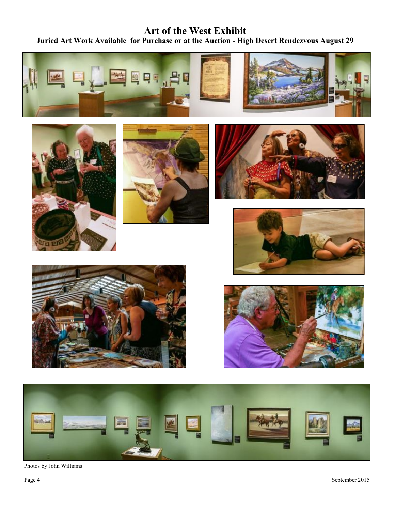# **Art of the West Exhibit Juried Art Work Available for Purchase or at the Auction - High Desert Rendezvous August 29**

















Photos by John Williams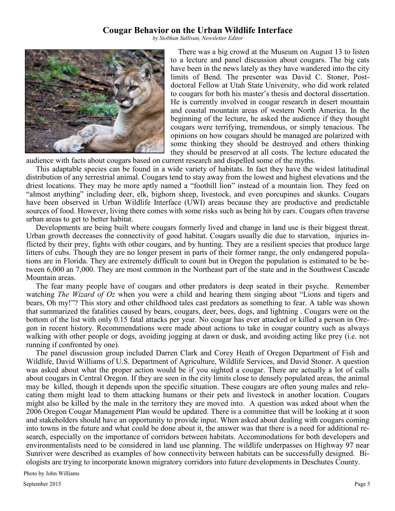#### **Cougar Behavior on the Urban Wildlife Interface**

*by Siobhan Sullivan, Newsletter Editor*



There was a big crowd at the Museum on August 13 to listen to a lecture and panel discussion about cougars. The big cats have been in the news lately as they have wandered into the city limits of Bend. The presenter was David C. Stoner, Postdoctoral Fellow at Utah State University, who did work related to cougars for both his master's thesis and doctoral dissertation. He is currently involved in cougar research in desert mountain and coastal mountain areas of western North America. In the beginning of the lecture, he asked the audience if they thought cougars were terrifying, tremendous, or simply tenacious. The opinions on how cougars should be managed are polarized with some thinking they should be destroyed and others thinking they should be preserved at all costs. The lecture educated the

audience with facts about cougars based on current research and dispelled some of the myths.

 This adaptable species can be found in a wide variety of habitats. In fact they have the widest latitudinal distribution of any terrestrial animal. Cougars tend to stay away from the lowest and highest elevations and the driest locations. They may be more aptly named a "foothill lion" instead of a mountain lion. They feed on "almost anything" including deer, elk, bighorn sheep, livestock, and even porcupines and skunks. Cougars have been observed in Urban Wildlife Interface (UWI) areas because they are productive and predictable sources of food. However, living there comes with some risks such as being hit by cars. Cougars often traverse urban areas to get to better habitat.

 Developments are being built where cougars formerly lived and change in land use is their biggest threat. Urban growth decreases the connectivity of good habitat. Cougars usually die due to starvation, injuries inflicted by their prey, fights with other cougars, and by hunting. They are a resilient species that produce large litters of cubs. Though they are no longer present in parts of their former range, the only endangered populations are in Florida. They are extremely difficult to count but in Oregon the population is estimated to be between 6,000 an 7,000. They are most common in the Northeast part of the state and in the Southwest Cascade Mountain areas.

 The fear many people have of cougars and other predators is deep seated in their psyche. Remember watching *The Wizard of Oz* when you were a child and hearing them singing about "Lions and tigers and bears, Oh my!"? This story and other childhood tales cast predators as something to fear. A table was shown that summarized the fatalities caused by bears, cougars, deer, bees, dogs, and lightning . Cougars were on the bottom of the list with only 0.15 fatal attacks per year. No cougar has ever attacked or killed a person in Oregon in recent history. Recommendations were made about actions to take in cougar country such as always walking with other people or dogs, avoiding jogging at dawn or dusk, and avoiding acting like prey (i.e. not running if confronted by one).

 The panel discussion group included Darren Clark and Corey Heath of Oregon Department of Fish and Wildlife, David Williams of U.S. Department of Agriculture, Wildlife Services, and David Stoner. A question was asked about what the proper action would be if you sighted a cougar. There are actually a lot of calls about cougars in Central Oregon. If they are seen in the city limits close to densely populated areas, the animal may be killed, though it depends upon the specific situation. These cougars are often young males and relocating them might lead to them attacking humans or their pets and livestock in another location. Cougars might also be killed by the male in the territory they are moved into. A question was asked about when the 2006 Oregon Cougar Management Plan would be updated. There is a committee that will be looking at it soon and stakeholders should have an opportunity to provide input. When asked about dealing with cougars coming into towns in the future and what could be done about it, the answer was that there is a need for additional research, especially on the importance of corridors between habitats. Accommodations for both developers and environmentalists need to be considered in land use planning. The wildlife underpasses on Highway 97 near Sunriver were described as examples of how connectivity between habitats can be successfully designed. Biologists are trying to incorporate known migratory corridors into future developments in Deschutes County.

Photo by John Williams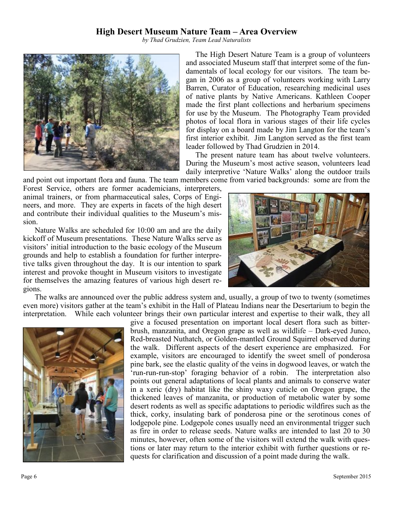#### **High Desert Museum Nature Team – Area Overview**

*by Thad Grudzien, Team Lead Naturalists*



 The High Desert Nature Team is a group of volunteers and associated Museum staff that interpret some of the fundamentals of local ecology for our visitors. The team began in 2006 as a group of volunteers working with Larry Barren, Curator of Education, researching medicinal uses of native plants by Native Americans. Kathleen Cooper made the first plant collections and herbarium specimens for use by the Museum. The Photography Team provided photos of local flora in various stages of their life cycles for display on a board made by Jim Langton for the team's first interior exhibit. Jim Langton served as the first team leader followed by Thad Grudzien in 2014.

 The present nature team has about twelve volunteers. During the Museum's most active season, volunteers lead daily interpretive 'Nature Walks' along the outdoor trails

and point out important flora and fauna. The team members come from varied backgrounds: some are from the

Forest Service, others are former academicians, interpreters, animal trainers, or from pharmaceutical sales, Corps of Engineers, and more. They are experts in facets of the high desert and contribute their individual qualities to the Museum's mission.

Nature Walks are scheduled for 10:00 am and are the daily kickoff of Museum presentations. These Nature Walks serve as visitors' initial introduction to the basic ecology of the Museum grounds and help to establish a foundation for further interpretive talks given throughout the day. It is our intention to spark interest and provoke thought in Museum visitors to investigate for themselves the amazing features of various high desert regions.



The walks are announced over the public address system and, usually, a group of two to twenty (sometimes even more) visitors gather at the team's exhibit in the Hall of Plateau Indians near the Desertarium to begin the interpretation. While each volunteer brings their own particular interest and expertise to their walk, they all



give a focused presentation on important local desert flora such as bitterbrush, manzanita, and Oregon grape as well as wildlife – Dark-eyed Junco, Red-breasted Nuthatch, or Golden-mantled Ground Squirrel observed during the walk. Different aspects of the desert experience are emphasized. For example, visitors are encouraged to identify the sweet smell of ponderosa pine bark, see the elastic quality of the veins in dogwood leaves, or watch the 'run-run-run-stop' foraging behavior of a robin. The interpretation also points out general adaptations of local plants and animals to conserve water in a xeric (dry) habitat like the shiny waxy cuticle on Oregon grape, the thickened leaves of manzanita, or production of metabolic water by some desert rodents as well as specific adaptations to periodic wildfires such as the thick, corky, insulating bark of ponderosa pine or the serotinous cones of lodgepole pine. Lodgepole cones usually need an environmental trigger such as fire in order to release seeds. Nature walks are intended to last 20 to 30 minutes, however, often some of the visitors will extend the walk with questions or later may return to the interior exhibit with further questions or requests for clarification and discussion of a point made during the walk.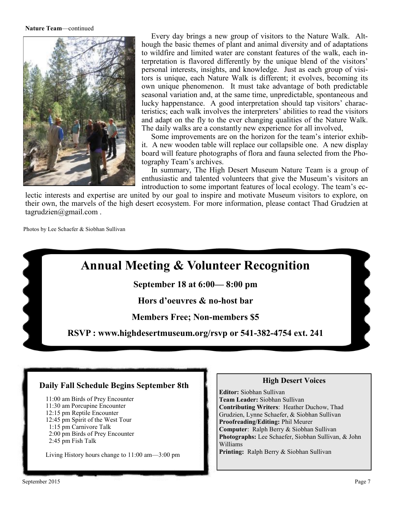#### **Nature Team**—continued



 Every day brings a new group of visitors to the Nature Walk. Although the basic themes of plant and animal diversity and of adaptations to wildfire and limited water are constant features of the walk, each interpretation is flavored differently by the unique blend of the visitors' personal interests, insights, and knowledge. Just as each group of visitors is unique, each Nature Walk is different; it evolves, becoming its own unique phenomenon. It must take advantage of both predictable seasonal variation and, at the same time, unpredictable, spontaneous and lucky happenstance. A good interpretation should tap visitors' characteristics; each walk involves the interpreters' abilities to read the visitors and adapt on the fly to the ever changing qualities of the Nature Walk. The daily walks are a constantly new experience for all involved,

 Some improvements are on the horizon for the team's interior exhibit. A new wooden table will replace our collapsible one. A new display board will feature photographs of flora and fauna selected from the Photography Team's archives.

 In summary, The High Desert Museum Nature Team is a group of enthusiastic and talented volunteers that give the Museum's visitors an introduction to some important features of local ecology. The team's ec-

lectic interests and expertise are united by our goal to inspire and motivate Museum visitors to explore, on their own, the marvels of the high desert ecosystem. For more information, please contact Thad Grudzien at tagrudzien@gmail.com .

Photos by Lee Schaefer & Siobhan Sullivan



#### **Daily Fall Schedule Begins September 8th**

11:00 am Birds of Prey Encounter 11:30 am Porcupine Encounter 12:15 pm Reptile Encounter 12:45 pm Spirit of the West Tour 1:15 pm Carnivore Talk 2:00 pm Birds of Prey Encounter 2:45 pm Fish Talk

Living History hours change to 11:00 am—3:00 pm

#### **High Desert Voices**

**Editor:** Siobhan Sullivan **Team Leader:** Siobhan Sullivan **Contributing Writers**: Heather Duchow, Thad Grudzien, Lynne Schaefer, & Siobhan Sullivan **Proofreading/Editing:** Phil Meurer **Computer**: Ralph Berry & Siobhan Sullivan **Photographs:** Lee Schaefer, Siobhan Sullivan, & John Williams **Printing:** Ralph Berry & Siobhan Sullivan